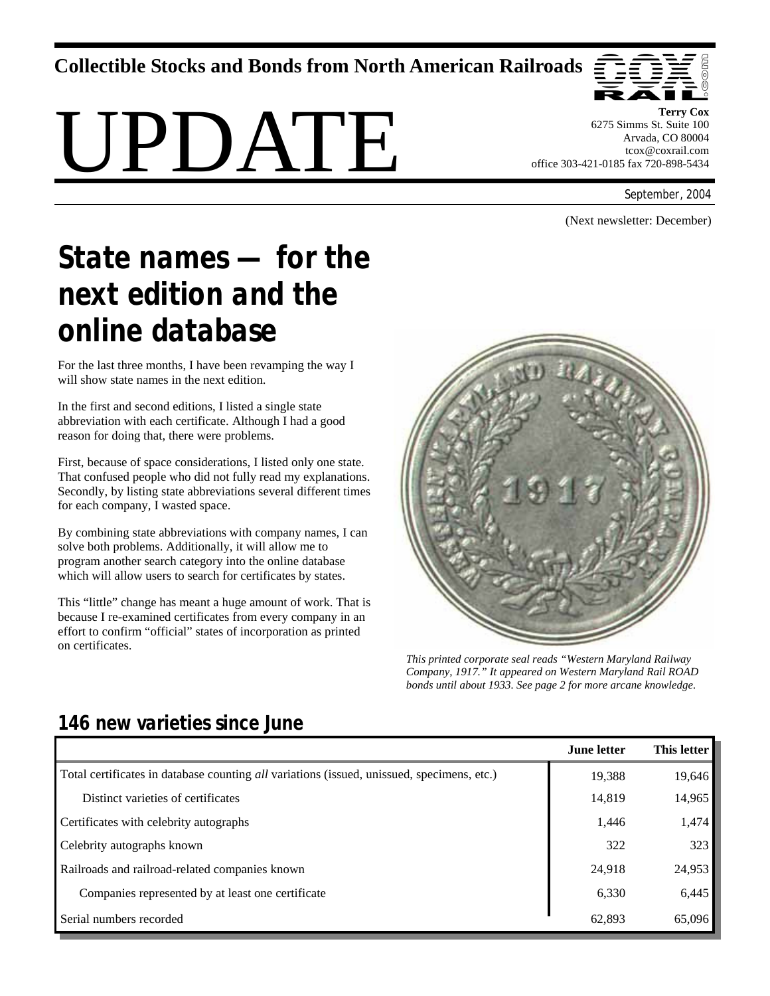**Collectible Stocks and Bonds from North American Railroads** 





**Terry Cox**  6275 Simms St. Suite 100 Arvada, CO 80004 tcox@coxrail.com office 303-421-0185 fax 720-898-5434

September, 2004

(Next newsletter: December)

# *State names — for the next edition and the online database*

For the last three months, I have been revamping the way I will show state names in the next edition.

In the first and second editions, I listed a single state abbreviation with each certificate. Although I had a good reason for doing that, there were problems.

First, because of space considerations, I listed only one state. That confused people who did not fully read my explanations. Secondly, by listing state abbreviations several different times for each company, I wasted space.

By combining state abbreviations with company names, I can solve both problems. Additionally, it will allow me to program another search category into the online database which will allow users to search for certificates by states.

This "little" change has meant a huge amount of work. That is because I re-examined certificates from every company in an effort to confirm "official" states of incorporation as printed on certificates.



*This printed corporate seal reads "Western Maryland Railway Company, 1917." It appeared on Western Maryland Rail ROAD bonds until about 1933. See page 2 for more arcane knowledge.* 

|                                                                                            | June letter | <b>This letter</b> |
|--------------------------------------------------------------------------------------------|-------------|--------------------|
| Total certificates in database counting all variations (issued, unissued, specimens, etc.) | 19,388      | 19,646             |
| Distinct varieties of certificates                                                         | 14,819      | 14,965             |
| Certificates with celebrity autographs                                                     | 1,446       | 1.474              |
| Celebrity autographs known                                                                 | 322         | 323                |
| Railroads and railroad-related companies known                                             | 24,918      | 24,953             |
| Companies represented by at least one certificate                                          | 6,330       | 6,445              |
| Serial numbers recorded                                                                    | 62.893      | 65,096             |

# *146 new varieties since June*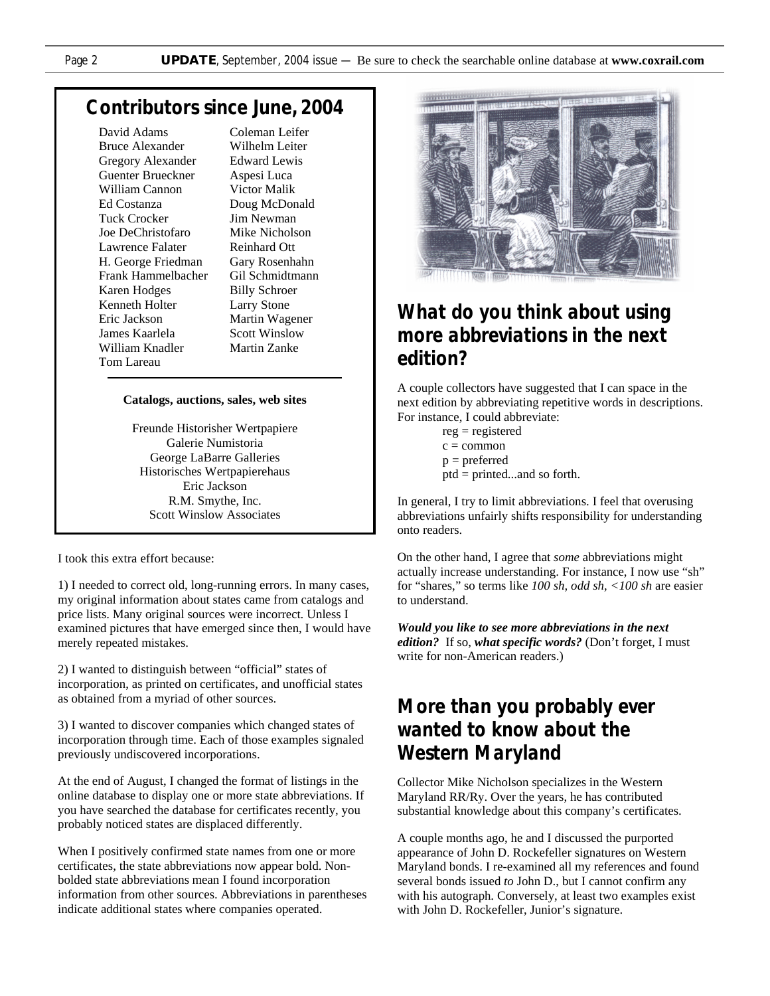#### *Contributors since June, 2004*

David Adams Bruce Alexander Gregory Alexander Guenter Brueckner William Cannon Ed Costanza Tuck Crocker Joe DeChristofaro Lawrence Falater H. George Friedman Frank Hammelbacher Karen Hodges Kenneth Holter Eric Jackson James Kaarlela William Knadler Tom Lareau

Coleman Leifer Wilhelm Leiter Edward Lewis Aspesi Luca Victor Malik Doug McDonald Jim Newman Mike Nicholson Reinhard Ott Gary Rosenhahn Gil Schmidtmann Billy Schroer Larry Stone Martin Wagener Scott Winslow Martin Zanke

#### **Catalogs, auctions, sales, web sites**

Freunde Historisher Wertpapiere Galerie Numistoria George LaBarre Galleries Historisches Wertpapierehaus Eric Jackson R.M. Smythe, Inc. Scott Winslow Associates

I took this extra effort because:

1) I needed to correct old, long-running errors. In many cases, my original information about states came from catalogs and price lists. Many original sources were incorrect. Unless I examined pictures that have emerged since then, I would have merely repeated mistakes.

2) I wanted to distinguish between "official" states of incorporation, as printed on certificates, and unofficial states as obtained from a myriad of other sources.

3) I wanted to discover companies which changed states of incorporation through time. Each of those examples signaled previously undiscovered incorporations.

At the end of August, I changed the format of listings in the online database to display one or more state abbreviations. If you have searched the database for certificates recently, you probably noticed states are displaced differently.

When I positively confirmed state names from one or more certificates, the state abbreviations now appear bold. Nonbolded state abbreviations mean I found incorporation information from other sources. Abbreviations in parentheses indicate additional states where companies operated.



### *What do you think about using more abbreviations in the next edition?*

A couple collectors have suggested that I can space in the next edition by abbreviating repetitive words in descriptions. For instance, I could abbreviate:

> $re$ g = registered  $c = common$  $p =$  preferred ptd = printed...and so forth.

In general, I try to limit abbreviations. I feel that overusing abbreviations unfairly shifts responsibility for understanding onto readers.

On the other hand, I agree that *some* abbreviations might actually increase understanding. For instance, I now use "sh" for "shares," so terms like *100 sh, odd sh, <100 sh* are easier to understand.

*Would you like to see more abbreviations in the next edition?* If so, *what specific words?* (Don't forget, I must write for non-American readers.)

## *More than you probably ever wanted to know about the Western Maryland*

Collector Mike Nicholson specializes in the Western Maryland RR/Ry. Over the years, he has contributed substantial knowledge about this company's certificates.

A couple months ago, he and I discussed the purported appearance of John D. Rockefeller signatures on Western Maryland bonds. I re-examined all my references and found several bonds issued *to* John D., but I cannot confirm any with his autograph. Conversely, at least two examples exist with John D. Rockefeller, Junior's signature.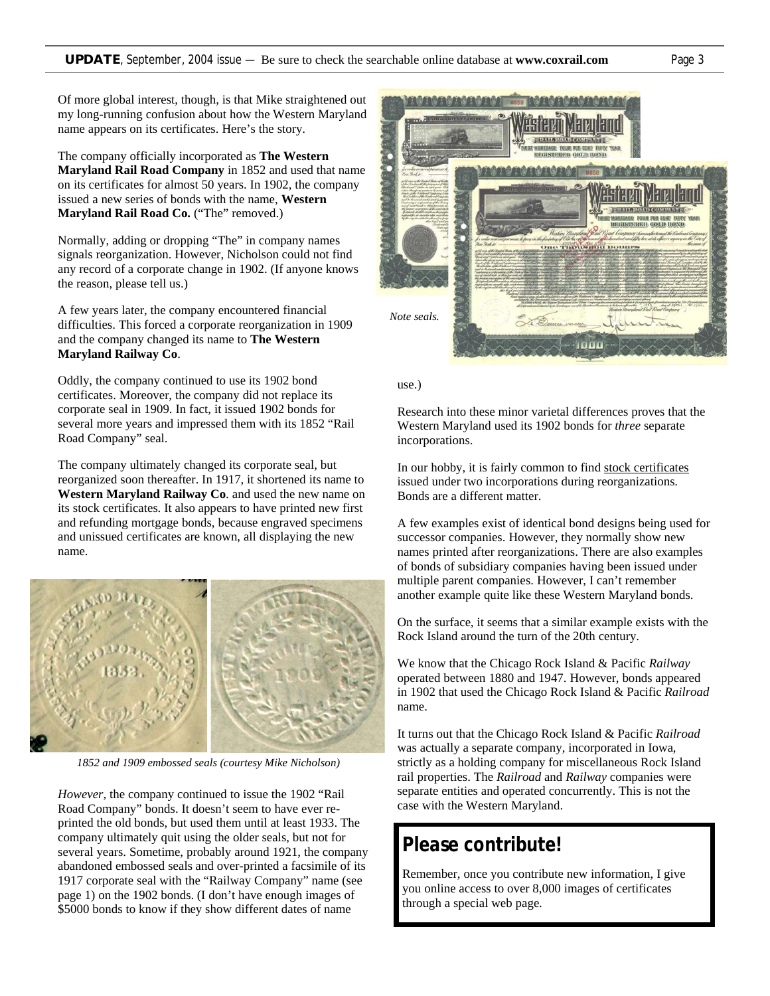Of more global interest, though, is that Mike straightened out my long-running confusion about how the Western Maryland name appears on its certificates. Here's the story.

The company officially incorporated as **The Western Maryland Rail Road Company** in 1852 and used that name on its certificates for almost 50 years. In 1902, the company issued a new series of bonds with the name, **Western Maryland Rail Road Co.** ("The" removed.)

Normally, adding or dropping "The" in company names signals reorganization. However, Nicholson could not find any record of a corporate change in 1902. (If anyone knows the reason, please tell us.)

A few years later, the company encountered financial difficulties. This forced a corporate reorganization in 1909 and the company changed its name to **The Western Maryland Railway Co**.

Oddly, the company continued to use its 1902 bond certificates. Moreover, the company did not replace its corporate seal in 1909. In fact, it issued 1902 bonds for several more years and impressed them with its 1852 "Rail Road Company" seal.

The company ultimately changed its corporate seal, but reorganized soon thereafter. In 1917, it shortened its name to **Western Maryland Railway Co**. and used the new name on its stock certificates. It also appears to have printed new first and refunding mortgage bonds, because engraved specimens and unissued certificates are known, all displaying the new name.



*1852 and 1909 embossed seals (courtesy Mike Nicholson)* 

*However*, the company continued to issue the 1902 "Rail Road Company" bonds. It doesn't seem to have ever reprinted the old bonds, but used them until at least 1933. The company ultimately quit using the older seals, but not for several years. Sometime, probably around 1921, the company abandoned embossed seals and over-printed a facsimile of its 1917 corporate seal with the "Railway Company" name (see page 1) on the 1902 bonds. (I don't have enough images of \$5000 bonds to know if they show different dates of name



#### use.)

Research into these minor varietal differences proves that the Western Maryland used its 1902 bonds for *three* separate incorporations.

In our hobby, it is fairly common to find stock certificates issued under two incorporations during reorganizations. Bonds are a different matter.

A few examples exist of identical bond designs being used for successor companies. However, they normally show new names printed after reorganizations. There are also examples of bonds of subsidiary companies having been issued under multiple parent companies. However, I can't remember another example quite like these Western Maryland bonds.

On the surface, it seems that a similar example exists with the Rock Island around the turn of the 20th century.

We know that the Chicago Rock Island & Pacific *Railway* operated between 1880 and 1947. However, bonds appeared in 1902 that used the Chicago Rock Island & Pacific *Railroad* name.

It turns out that the Chicago Rock Island & Pacific *Railroad*  was actually a separate company, incorporated in Iowa, strictly as a holding company for miscellaneous Rock Island rail properties. The *Railroad* and *Railway* companies were separate entities and operated concurrently. This is not the case with the Western Maryland.

### *Please contribute!*

Remember, once you contribute new information, I give you online access to over 8,000 images of certificates through a special web page.